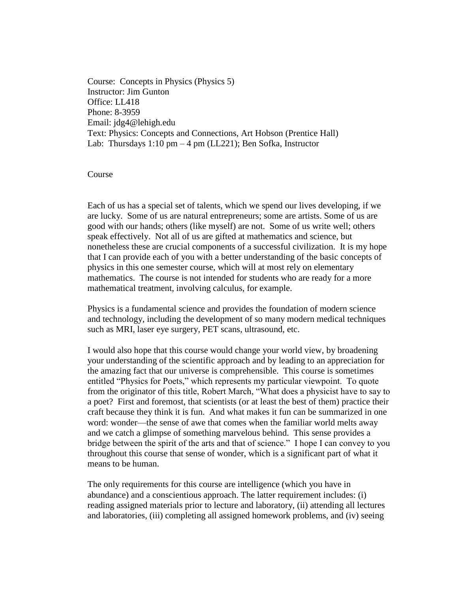Course: Concepts in Physics (Physics 5) Instructor: Jim Gunton Office: LL418 Phone: 8-3959 Email: jdg4@lehigh.edu Text: Physics: Concepts and Connections, Art Hobson (Prentice Hall) Lab: Thursdays 1:10 pm – 4 pm (LL221); Ben Sofka, Instructor

Course

Each of us has a special set of talents, which we spend our lives developing, if we are lucky. Some of us are natural entrepreneurs; some are artists. Some of us are good with our hands; others (like myself) are not. Some of us write well; others speak effectively. Not all of us are gifted at mathematics and science, but nonetheless these are crucial components of a successful civilization. It is my hope that I can provide each of you with a better understanding of the basic concepts of physics in this one semester course, which will at most rely on elementary mathematics. The course is not intended for students who are ready for a more mathematical treatment, involving calculus, for example.

Physics is a fundamental science and provides the foundation of modern science and technology, including the development of so many modern medical techniques such as MRI, laser eye surgery, PET scans, ultrasound, etc.

I would also hope that this course would change your world view, by broadening your understanding of the scientific approach and by leading to an appreciation for the amazing fact that our universe is comprehensible. This course is sometimes entitled "Physics for Poets," which represents my particular viewpoint. To quote from the originator of this title, Robert March, "What does a physicist have to say to a poet? First and foremost, that scientists (or at least the best of them) practice their craft because they think it is fun. And what makes it fun can be summarized in one word: wonder—the sense of awe that comes when the familiar world melts away and we catch a glimpse of something marvelous behind. This sense provides a bridge between the spirit of the arts and that of science." I hope I can convey to you throughout this course that sense of wonder, which is a significant part of what it means to be human.

The only requirements for this course are intelligence (which you have in abundance) and a conscientious approach. The latter requirement includes: (i) reading assigned materials prior to lecture and laboratory, (ii) attending all lectures and laboratories, (iii) completing all assigned homework problems, and (iv) seeing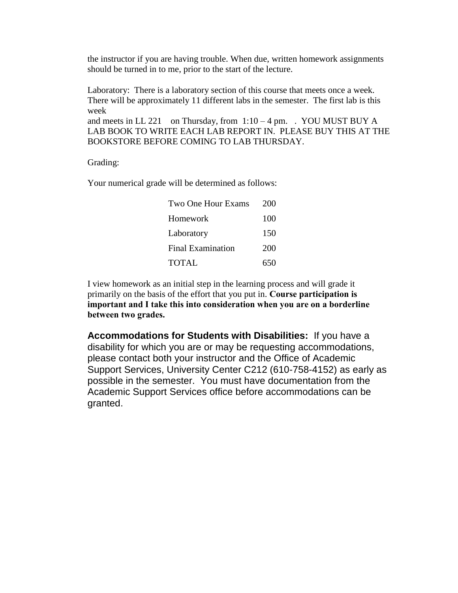the instructor if you are having trouble. When due, written homework assignments should be turned in to me, prior to the start of the lecture.

Laboratory: There is a laboratory section of this course that meets once a week. There will be approximately 11 different labs in the semester. The first lab is this week

and meets in LL 221 on Thursday, from  $1:10-4$  pm. . YOU MUST BUY A LAB BOOK TO WRITE EACH LAB REPORT IN. PLEASE BUY THIS AT THE BOOKSTORE BEFORE COMING TO LAB THURSDAY.

Grading:

Your numerical grade will be determined as follows:

| Two One Hour Exams       | 200 |
|--------------------------|-----|
| Homework                 | 100 |
| Laboratory               | 150 |
| <b>Final Examination</b> | 200 |
| <b>TOTAL</b>             | 650 |

I view homework as an initial step in the learning process and will grade it primarily on the basis of the effort that you put in. **Course participation is important and I take this into consideration when you are on a borderline between two grades.**

**Accommodations for Students with Disabilities:** If you have a disability for which you are or may be requesting accommodations, please contact both your instructor and the Office of Academic Support Services, University Center C212 (610-758-4152) as early as possible in the semester. You must have documentation from the Academic Support Services office before accommodations can be granted.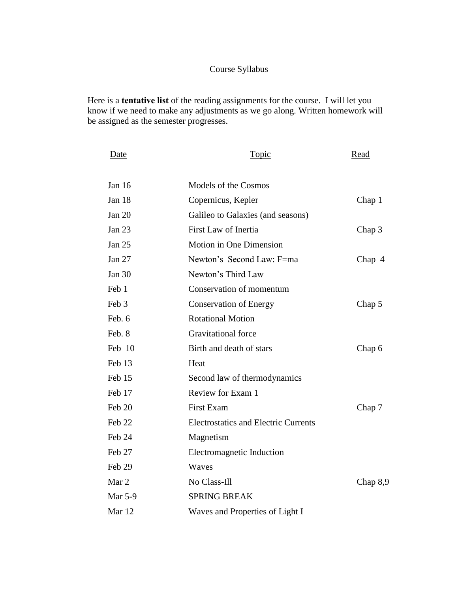## Course Syllabus

Here is a **tentative list** of the reading assignments for the course. I will let you know if we need to make any adjustments as we go along. Written homework will be assigned as the semester progresses.

| Date          | <b>Topic</b>                                | Read       |
|---------------|---------------------------------------------|------------|
| Jan 16        | Models of the Cosmos                        |            |
| Jan 18        | Copernicus, Kepler                          | Chap 1     |
| <b>Jan 20</b> | Galileo to Galaxies (and seasons)           |            |
| Jan 23        | First Law of Inertia                        | Chap 3     |
| <b>Jan 25</b> | Motion in One Dimension                     |            |
| Jan 27        | Newton's Second Law: F=ma                   | Chap 4     |
| Jan 30        | Newton's Third Law                          |            |
| Feb 1         | Conservation of momentum                    |            |
| Feb 3         | <b>Conservation of Energy</b>               | Chap 5     |
| Feb. 6        | <b>Rotational Motion</b>                    |            |
| Feb. 8        | <b>Gravitational force</b>                  |            |
| Feb 10        | Birth and death of stars                    | Chap 6     |
| Feb 13        | Heat                                        |            |
| Feb 15        | Second law of thermodynamics                |            |
| Feb 17        | Review for Exam 1                           |            |
| Feb 20        | <b>First Exam</b>                           | Chap 7     |
| Feb 22        | <b>Electrostatics and Electric Currents</b> |            |
| Feb 24        | Magnetism                                   |            |
| Feb 27        | Electromagnetic Induction                   |            |
| Feb 29        | Waves                                       |            |
| Mar 2         | No Class-Ill                                | Chap $8,9$ |
| Mar 5-9       | <b>SPRING BREAK</b>                         |            |
| Mar 12        | Waves and Properties of Light I             |            |